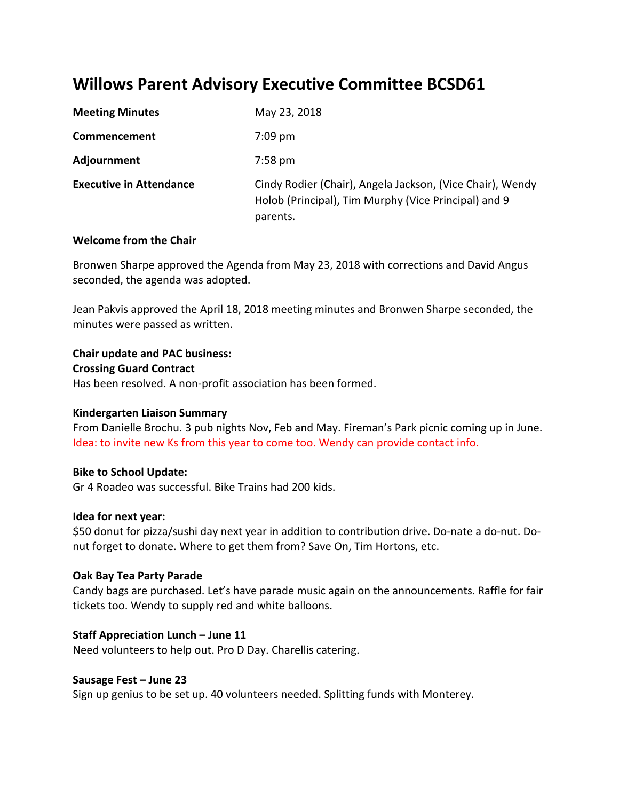# **Willows Parent Advisory Executive Committee BCSD61**

| <b>Meeting Minutes</b>         | May 23, 2018                                                                                                                  |
|--------------------------------|-------------------------------------------------------------------------------------------------------------------------------|
| Commencement                   | $7:09$ pm                                                                                                                     |
| Adjournment                    | 7:58 pm                                                                                                                       |
| <b>Executive in Attendance</b> | Cindy Rodier (Chair), Angela Jackson, (Vice Chair), Wendy<br>Holob (Principal), Tim Murphy (Vice Principal) and 9<br>parents. |

## **Welcome from the Chair**

Bronwen Sharpe approved the Agenda from May 23, 2018 with corrections and David Angus seconded, the agenda was adopted.

Jean Pakvis approved the April 18, 2018 meeting minutes and Bronwen Sharpe seconded, the minutes were passed as written.

## **Chair update and PAC business:**

#### **Crossing Guard Contract**

Has been resolved. A non-profit association has been formed.

## **Kindergarten Liaison Summary**

From Danielle Brochu. 3 pub nights Nov, Feb and May. Fireman's Park picnic coming up in June. Idea: to invite new Ks from this year to come too. Wendy can provide contact info.

## **Bike to School Update:**

Gr 4 Roadeo was successful. Bike Trains had 200 kids.

## **Idea for next year:**

\$50 donut for pizza/sushi day next year in addition to contribution drive. Do-nate a do-nut. Donut forget to donate. Where to get them from? Save On, Tim Hortons, etc.

## **Oak Bay Tea Party Parade**

Candy bags are purchased. Let's have parade music again on the announcements. Raffle for fair tickets too. Wendy to supply red and white balloons.

## **Staff Appreciation Lunch – June 11**

Need volunteers to help out. Pro D Day. Charellis catering.

#### **Sausage Fest – June 23**

Sign up genius to be set up. 40 volunteers needed. Splitting funds with Monterey.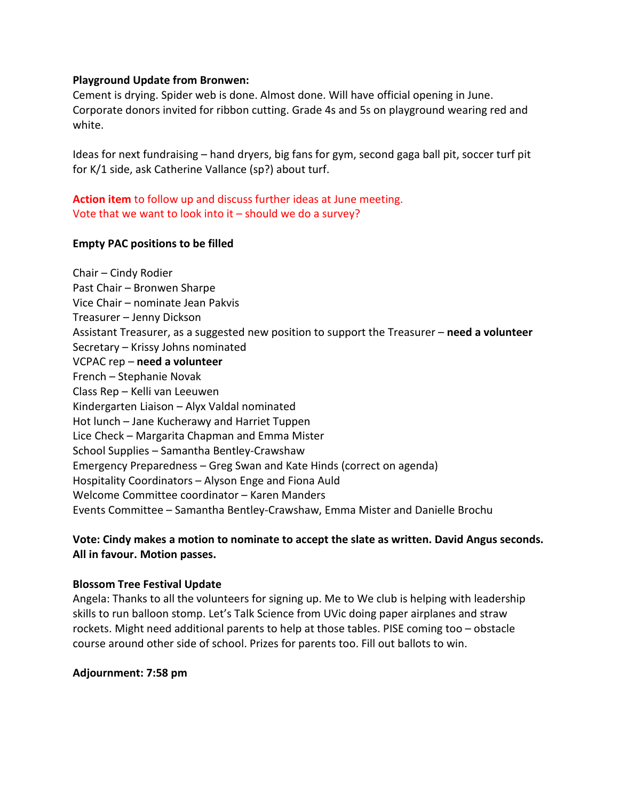#### **Playground Update from Bronwen:**

Cement is drying. Spider web is done. Almost done. Will have official opening in June. Corporate donors invited for ribbon cutting. Grade 4s and 5s on playground wearing red and white.

Ideas for next fundraising – hand dryers, big fans for gym, second gaga ball pit, soccer turf pit for K/1 side, ask Catherine Vallance (sp?) about turf.

**Action item** to follow up and discuss further ideas at June meeting. Vote that we want to look into it – should we do a survey?

#### **Empty PAC positions to be filled**

Chair – Cindy Rodier Past Chair – Bronwen Sharpe Vice Chair – nominate Jean Pakvis Treasurer – Jenny Dickson Assistant Treasurer, as a suggested new position to support the Treasurer – **need a volunteer** Secretary – Krissy Johns nominated VCPAC rep – **need a volunteer** French – Stephanie Novak Class Rep – Kelli van Leeuwen Kindergarten Liaison – Alyx Valdal nominated Hot lunch – Jane Kucherawy and Harriet Tuppen Lice Check – Margarita Chapman and Emma Mister School Supplies – Samantha Bentley-Crawshaw Emergency Preparedness – Greg Swan and Kate Hinds (correct on agenda) Hospitality Coordinators – Alyson Enge and Fiona Auld Welcome Committee coordinator – Karen Manders Events Committee – Samantha Bentley-Crawshaw, Emma Mister and Danielle Brochu

# **Vote: Cindy makes a motion to nominate to accept the slate as written. David Angus seconds. All in favour. Motion passes.**

#### **Blossom Tree Festival Update**

Angela: Thanks to all the volunteers for signing up. Me to We club is helping with leadership skills to run balloon stomp. Let's Talk Science from UVic doing paper airplanes and straw rockets. Might need additional parents to help at those tables. PISE coming too – obstacle course around other side of school. Prizes for parents too. Fill out ballots to win.

## **Adjournment: 7:58 pm**